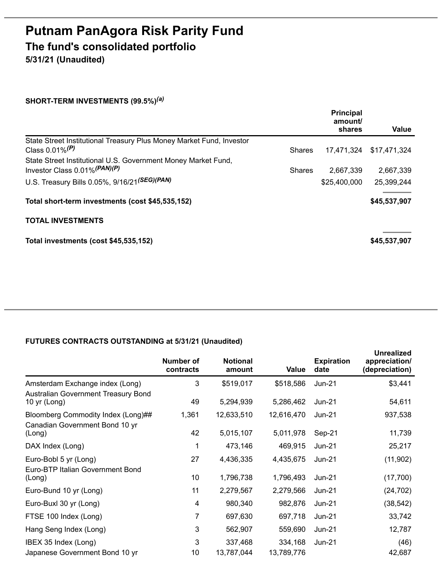## **Putnam PanAgora Risk Parity Fund The fund's consolidated portfolio**

**5/31/21 (Unaudited)**

## **SHORT-TERM INVESTMENTS (99.5%)** *(a)*

|                                                                                                 |               | <b>Principal</b><br>amount/<br>shares | Value        |
|-------------------------------------------------------------------------------------------------|---------------|---------------------------------------|--------------|
| State Street Institutional Treasury Plus Money Market Fund, Investor                            |               |                                       |              |
| Class $0.01\%$ <sup>(P)</sup>                                                                   | <b>Shares</b> | 17,471,324                            | \$17,471,324 |
| State Street Institutional U.S. Government Money Market Fund,<br>Investor Class 0.01% (PAN) (P) | <b>Shares</b> | 2,667,339                             | 2,667,339    |
| U.S. Treasury Bills 0.05%, 9/16/21(SEG)(PAN)                                                    |               | \$25,400,000                          | 25,399,244   |
| Total short-term investments (cost \$45,535,152)                                                |               |                                       | \$45,537,907 |
| <b>TOTAL INVESTMENTS</b>                                                                        |               |                                       |              |
| Total investments (cost \$45,535,152)                                                           |               |                                       | \$45,537,907 |

## **FUTURES CONTRACTS OUTSTANDING at 5/31/21 (Unaudited)**

|                                                           | Number of<br>contracts | <b>Notional</b><br>amount | Value      | <b>Expiration</b><br>date | <b>Unrealized</b><br>appreciation/<br>(depreciation) |
|-----------------------------------------------------------|------------------------|---------------------------|------------|---------------------------|------------------------------------------------------|
| Amsterdam Exchange index (Long)                           | 3                      | \$519,017                 | \$518,586  | $Jun-21$                  | \$3,441                                              |
| Australian Government Treasury Bond<br>10 yr (Long)       | 49                     | 5,294,939                 | 5,286,462  | $Jun-21$                  | 54,611                                               |
| Bloomberg Commodity Index (Long)##                        | 1,361                  | 12,633,510                | 12,616,470 | Jun-21                    | 937,538                                              |
| Canadian Government Bond 10 yr<br>(Long)                  | 42                     | 5,015,107                 | 5,011,978  | Sep-21                    | 11,739                                               |
| DAX Index (Long)                                          | 1                      | 473,146                   | 469,915    | $Jun-21$                  | 25,217                                               |
| Euro-Bobl 5 yr (Long)<br>Euro-BTP Italian Government Bond | 27                     | 4,436,335                 | 4,435,675  | $Jun-21$                  | (11,902)                                             |
| (Long)                                                    | 10 <sup>°</sup>        | 1,796,738                 | 1,796,493  | $Jun-21$                  | (17,700)                                             |
| Euro-Bund 10 yr (Long)                                    | 11                     | 2,279,567                 | 2,279,566  | $Jun-21$                  | (24, 702)                                            |
| Euro-Buxl 30 yr (Long)                                    | 4                      | 980,340                   | 982,876    | $Jun-21$                  | (38, 542)                                            |
| FTSE 100 Index (Long)                                     | 7                      | 697,630                   | 697,718    | $Jun-21$                  | 33,742                                               |
| Hang Seng Index (Long)                                    | 3                      | 562,907                   | 559,690    | $Jun-21$                  | 12,787                                               |
| IBEX 35 Index (Long)                                      | 3                      | 337,468                   | 334,168    | $Jun-21$                  | (46)                                                 |
| Japanese Government Bond 10 yr                            | 10                     | 13,787,044                | 13,789,776 |                           | 42,687                                               |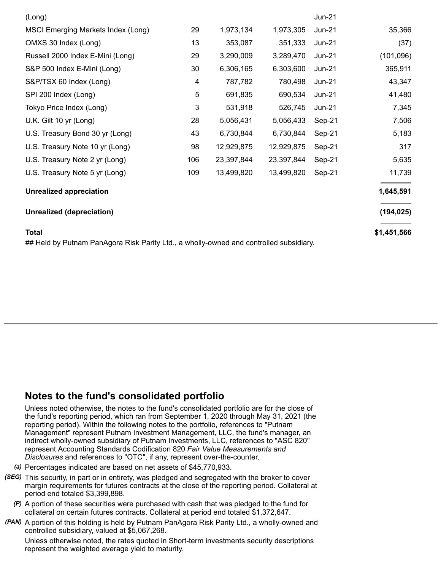| (Long)                                                                                                 |     |            |            | $Jun-21$ |             |
|--------------------------------------------------------------------------------------------------------|-----|------------|------------|----------|-------------|
| MSCI Emerging Markets Index (Long)                                                                     | 29  | 1,973,134  | 1,973,305  | $Jun-21$ | 35,366      |
| OMXS 30 Index (Long)                                                                                   | 13  | 353,087    | 351,333    | $Jun-21$ | (37)        |
| Russell 2000 Index E-Mini (Long)                                                                       | 29  | 3,290,009  | 3,289,470  | $Jun-21$ | (101, 096)  |
| S&P 500 Index E-Mini (Long)                                                                            | 30  | 6,306,165  | 6,303,600  | $Jun-21$ | 365,911     |
| S&P/TSX 60 Index (Long)                                                                                | 4   | 787,782    | 780,498    | $Jun-21$ | 43,347      |
| SPI 200 Index (Long)                                                                                   | 5   | 691,835    | 690,534    | $Jun-21$ | 41,480      |
| Tokyo Price Index (Long)                                                                               | 3   | 531,918    | 526,745    | $Jun-21$ | 7,345       |
| U.K. Gilt 10 yr (Long)                                                                                 | 28  | 5,056,431  | 5,056,433  | Sep-21   | 7,506       |
| U.S. Treasury Bond 30 yr (Long)                                                                        | 43  | 6,730,844  | 6,730,844  | Sep-21   | 5,183       |
| U.S. Treasury Note 10 yr (Long)                                                                        | 98  | 12,929,875 | 12,929,875 | Sep-21   | 317         |
| U.S. Treasury Note 2 yr (Long)                                                                         | 106 | 23,397,844 | 23,397,844 | Sep-21   | 5,635       |
| U.S. Treasury Note 5 yr (Long)                                                                         | 109 | 13,499,820 | 13,499,820 | Sep-21   | 11,739      |
| <b>Unrealized appreciation</b>                                                                         |     |            |            |          | 1,645,591   |
| <b>Unrealized (depreciation)</b>                                                                       |     |            |            |          | (194, 025)  |
| <b>Total</b><br>## Held by Putnam PanAgora Risk Parity Ltd., a wholly-owned and controlled subsidiary. |     |            |            |          | \$1,451,566 |

## **Notes to the fund's consolidated portfolio**

Unless noted otherwise, the notes to the fund's consolidated portfolio are for the close of the fund's reporting period, which ran from September 1, 2020 through May 31, 2021 (the reporting period). Within the following notes to the portfolio, references to "Putnam Management" represent Putnam Investment Management, LLC, the fund's manager, an indirect wholly-owned subsidiary of Putnam Investments, LLC, references to "ASC 820" represent Accounting Standards Codification 820 *Fair Value Measurements and Disclosures* and references to "OTC", if any, represent over-the-counter.

- *(a)* Percentages indicated are based on net assets of \$45,770,933.
- *(SEG)* This security, in part or in entirety, was pledged and segregated with the broker to cover margin requirements for futures contracts at the close of the reporting period. Collateral at period end totaled \$3,399,898.
	- *(P)* A portion of these securities were purchased with cash that was pledged to the fund for collateral on certain futures contracts. Collateral at period end totaled \$1,372,647.
- *(PAN)* A portion of this holding is held by Putnam PanAgora Risk Parity Ltd., a wholly-owned and controlled subsidiary, valued at \$5,067,268.

Unless otherwise noted, the rates quoted in Short-term investments security descriptions represent the weighted average yield to maturity.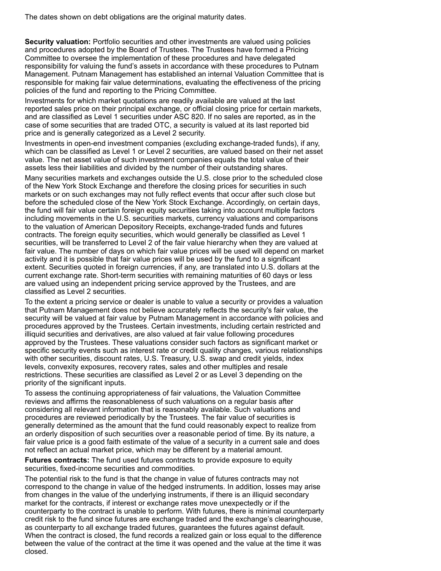The dates shown on debt obligations are the original maturity dates.

**Security valuation:** Portfolio securities and other investments are valued using policies and procedures adopted by the Board of Trustees. The Trustees have formed a Pricing Committee to oversee the implementation of these procedures and have delegated responsibility for valuing the fund's assets in accordance with these procedures to Putnam Management. Putnam Management has established an internal Valuation Committee that is responsible for making fair value determinations, evaluating the effectiveness of the pricing policies of the fund and reporting to the Pricing Committee.

Investments for which market quotations are readily available are valued at the last reported sales price on their principal exchange, or official closing price for certain markets, and are classified as Level 1 securities under ASC 820. If no sales are reported, as in the case of some securities that are traded OTC, a security is valued at its last reported bid price and is generally categorized as a Level 2 security.

Investments in open-end investment companies (excluding exchange-traded funds), if any, which can be classified as Level 1 or Level 2 securities, are valued based on their net asset value. The net asset value of such investment companies equals the total value of their assets less their liabilities and divided by the number of their outstanding shares.

Many securities markets and exchanges outside the U.S. close prior to the scheduled close of the New York Stock Exchange and therefore the closing prices for securities in such markets or on such exchanges may not fully reflect events that occur after such close but before the scheduled close of the New York Stock Exchange. Accordingly, on certain days, the fund will fair value certain foreign equity securities taking into account multiple factors including movements in the U.S. securities markets, currency valuations and comparisons to the valuation of American Depository Receipts, exchange-traded funds and futures contracts. The foreign equity securities, which would generally be classified as Level 1 securities, will be transferred to Level 2 of the fair value hierarchy when they are valued at fair value. The number of days on which fair value prices will be used will depend on market activity and it is possible that fair value prices will be used by the fund to a significant extent. Securities quoted in foreign currencies, if any, are translated into U.S. dollars at the current exchange rate. Short-term securities with remaining maturities of 60 days or less are valued using an independent pricing service approved by the Trustees, and are classified as Level 2 securities.

To the extent a pricing service or dealer is unable to value a security or provides a valuation that Putnam Management does not believe accurately reflects the security's fair value, the security will be valued at fair value by Putnam Management in accordance with policies and procedures approved by the Trustees. Certain investments, including certain restricted and illiquid securities and derivatives, are also valued at fair value following procedures approved by the Trustees. These valuations consider such factors as significant market or specific security events such as interest rate or credit quality changes, various relationships with other securities, discount rates, U.S. Treasury, U.S. swap and credit yields, index levels, convexity exposures, recovery rates, sales and other multiples and resale restrictions. These securities are classified as Level 2 or as Level 3 depending on the priority of the significant inputs.

To assess the continuing appropriateness of fair valuations, the Valuation Committee reviews and affirms the reasonableness of such valuations on a regular basis after considering all relevant information that is reasonably available. Such valuations and procedures are reviewed periodically by the Trustees. The fair value of securities is generally determined as the amount that the fund could reasonably expect to realize from an orderly disposition of such securities over a reasonable period of time. By its nature, a fair value price is a good faith estimate of the value of a security in a current sale and does not reflect an actual market price, which may be different by a material amount.

**Futures contracts:** The fund used futures contracts to provide exposure to equity securities, fixed-income securities and commodities.

The potential risk to the fund is that the change in value of futures contracts may not correspond to the change in value of the hedged instruments. In addition, losses may arise from changes in the value of the underlying instruments, if there is an illiquid secondary market for the contracts, if interest or exchange rates move unexpectedly or if the counterparty to the contract is unable to perform. With futures, there is minimal counterparty credit risk to the fund since futures are exchange traded and the exchange's clearinghouse, as counterparty to all exchange traded futures, guarantees the futures against default. When the contract is closed, the fund records a realized gain or loss equal to the difference between the value of the contract at the time it was opened and the value at the time it was closed.